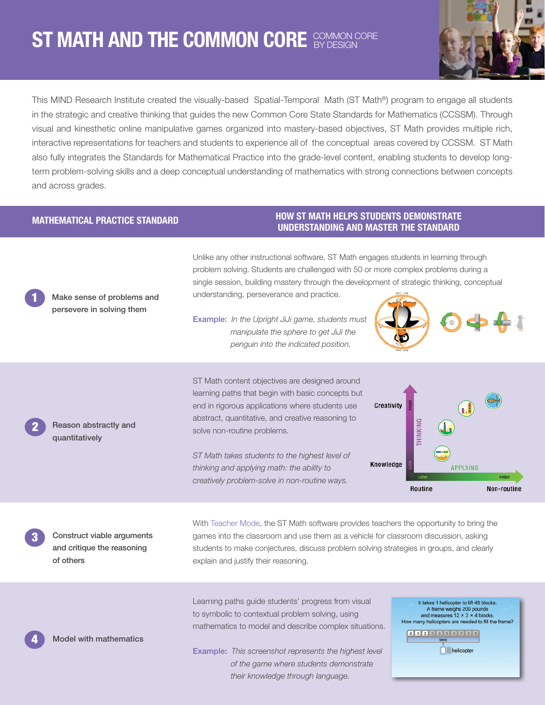## ST MATH AND THE COMMON CORE SYDESIGN CORE **OT IVIATIT AND THE GONINION GONE BY DESIGN**



This MIND Research Institute created the visually-based Spatial-Temporal Math (ST Math®) program to engage all students in the strategic and creative thinking that guides the new Common Core State Standards for Mathematics (CCSSM). Through visual and kinesthetic online manipulative games organized into mastery-based objectives, ST Math provides multiple rich, interactive representations for teachers and students to experience all of the conceptual areas covered by CCSSM. ST Math also fully integrates the Standards for Mathematical Practice into the grade-level content, enabling students to develop longterm problem-solving skills and a deep conceptual understanding of mathematics with strong connections between concepts and across grades.

## MATHEMATICAL PRACTICE STANDARD

Make sense of problems and persevere in solving them

1

l

2

## HOW ST MATH HELPS STUDENTS DEMONSTRATE UNDERSTANDING AND MASTER THE STANDARD

Unlike any other instructional software, ST Math engages students in learning through problem solving. Students are challenged with 50 or more complex problems during a single session, building mastery through the development of strategic thinking, conceptual understanding, perseverance and practice.

Example: *In the Upright JiJi game, students must manipulate the sphere to get JiJi the penguin into the indicated position.*

Reason abstractly and quantitatively

ST Math content objectives are designed around learning paths that begin with basic concepts but end in rigorous applications where students use abstract, quantitative, and creative reasoning to solve non-routine problems.

*ST Math takes students to the highest level of thinking and applying math: the ability to creatively problem-solve in non-routine ways.*



Construct viable arguments and critique the reasoning of others

**Model with mathematics** 

With Teacher Mode, the ST Math software provides teachers the opportunity to bring the games into the classroom and use them as a vehicle for classroom discussion, asking students to make conjectures, discuss problem solving strategies in groups, and clearly explain and justify their reasoning.

Learning paths guide students' progress from visual to symbolic to contextual problem solving, using mathematics to model and describe complex situations.

Example: *This screenshot represents the highest level of the game where students demonstrate their knowledge through language.*

It takes 1 helicopter to lift 48 blocks. A frame weighs 200 pounds<br>and measures  $12 \times 3 \times 4$  blocks. How many helicopters are needed to fill the frame? 0 1 2 3 4 5 6 7 8 9 **N** helicopter